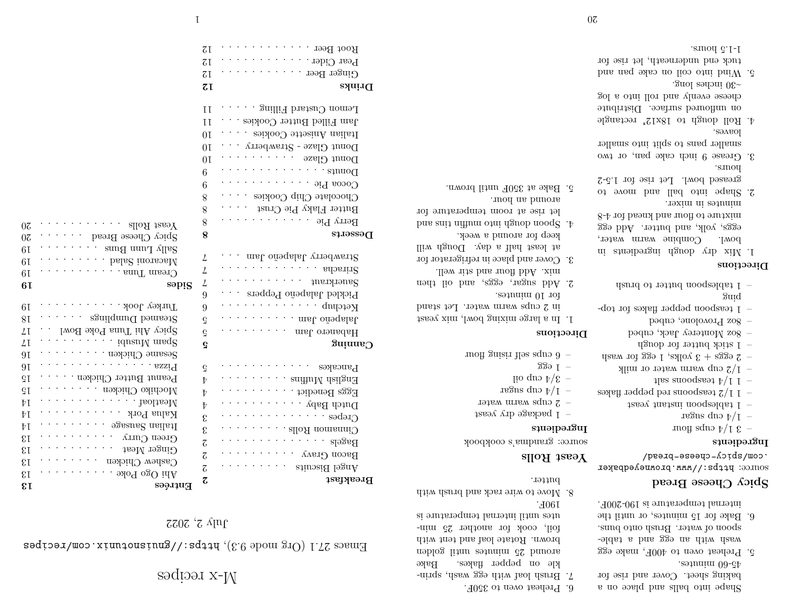# M-x recipes

 $\texttt{Hmax}$  27.1 (Org mode 9.3),  $\texttt{hargmax}$ .com/recipes

 $1<sup>n</sup>$   $\sim$  2022

Berry Pie . . . . . . . . . . . . 8 Butter Flaky Pie Crust  $\ldots$ . Chocolate Chip Cookies . . . . 8  $C$ ocoa Pie  $\ldots \ldots \ldots \ldots$  $6 \qquad \ldots \qquad \ldots \qquad \ldots \qquad \ldots \qquad \ldots$ Donut Glaze  $\dots \dots \dots \dots 10$ Donut Glaze - Strawberry  $\ldots$  10 Italian Anisette Cookies . . . . 10 Jam Filled Butter Cookies . . . 11 Lemon Custard Filling . . . . . 11

**Drinks 12** Ginger Beer  $\dots \dots \dots \dots$  12  $P$ ear Cider  $\ldots$  .  $\ldots$  . . . . . 12 Root Beer  $\dots \dots \dots \dots$  12

|                               |                                                                                         | 8                          | Chocolate Chip Cookies                                                                                                                                                                                                                         |
|-------------------------------|-----------------------------------------------------------------------------------------|----------------------------|------------------------------------------------------------------------------------------------------------------------------------------------------------------------------------------------------------------------------------------------|
|                               |                                                                                         | 8                          | Butter Flaky Pie Crust                                                                                                                                                                                                                         |
| $0\overline{c}$               | $\text{Yes } \text{Roll}$ slloA taseY                                                   | 8                          | Berry Pie                                                                                                                                                                                                                                      |
| $0\overline{c}$               | $SpiQ$ Cheese Bread $\ldots$ .                                                          | 8                          | Deserts                                                                                                                                                                                                                                        |
| 6I                            | $\ldots$ . $\ldots$ sung uung $\ldots$                                                  |                            |                                                                                                                                                                                                                                                |
| 6I                            | $\ldots$ bala2 inousoaM                                                                 | $\frac{1}{2}$              | $S$ trawberry Jalapeño Jam $\ldots$ .                                                                                                                                                                                                          |
| 6I                            | $\ldots$ sand Tuna                                                                      | $\overline{L}$             | $\cdots \cdots \cdots$                                                                                                                                                                                                                         |
| 6I                            | səpig                                                                                   | 4                          | $\mathcal{L}$ , and the set of the set of the set of the set of the set of the set of the set of the set of the set of the set of the set of the set of the set of the set of the set of the set of the set of the set of the set<br>${\rm\,}$ |
|                               |                                                                                         | 9                          | Pickled Jalapeño Peppers                                                                                                                                                                                                                       |
| 6I                            | $T$ urkey Jook $\ldots \ldots$                                                          | 9                          | Ketchup                                                                                                                                                                                                                                        |
| 8I                            | Steamed Dumplings                                                                       | $\rm G$                    | Jalapeño Jam $\ldots$ .                                                                                                                                                                                                                        |
| $\angle 1$                    | $S_{\text{prod}}$ Ahi Tuna Poke Bowl $\ldots$                                           | ç                          | Habanero Jam                                                                                                                                                                                                                                   |
| $\sqrt{1}$                    | $\ldots$ $\ldots$ idusuM msq <sup>2</sup>                                               | G                          | Caning                                                                                                                                                                                                                                         |
| 91                            | Sesame Chicken $\ldots$ $\ldots$                                                        |                            |                                                                                                                                                                                                                                                |
| 9I                            | Bizza 822i <sup>q</sup>                                                                 | Ğ                          | $\mathcal{L}$ , and the set of $\mathcal{L}$<br>Pancakes                                                                                                                                                                                       |
| ςŢ                            | Peanut Butter Chicken                                                                   | $\bar{V}$                  | English Muffins                                                                                                                                                                                                                                |
| $\mathrm{G}\,\mathrm{I}$      | Mochiko Chicken $\ldots \ldots$                                                         | $\bar{v}$                  | Eggs Benedict                                                                                                                                                                                                                                  |
| $\bar{V}$ [                   | healtheals                                                                              | $\bar{v}$                  | Dutch Baby $\cdots$ , $\cdots$                                                                                                                                                                                                                 |
| ÞΙ                            | Kalua Pork $\hskip10pt\ldots\hskip10pt\ldots\hskip10pt\ldots\hskip10pt\ldots\hskip10pt$ | $\boldsymbol{\mathcal{E}}$ | $\bigcirc$ rebe $\mathbf{z}$ $\cdots$ $\cdots$ $\mathbf{z}$                                                                                                                                                                                    |
| ₹Ţ                            | . 9<br>gasua<br>S nailai<br>I                                                           | $\boldsymbol{\mathcal{E}}$ | Cinnamon Rolls $\dots$                                                                                                                                                                                                                         |
| $\mathfrak{g}_{\mathfrak{l}}$ | Green Curry<br>かんかん かんかい                                                                | $\mbox{${\cal C}$}$        |                                                                                                                                                                                                                                                |
| $\mathfrak{g}_{\mathfrak{l}}$ | Ginger Meat                                                                             | $\overline{\mathcal{C}}$   | Bacon Gravy $\cdots \cdots \cdots$                                                                                                                                                                                                             |
| $\mathfrak{g}_{\mathfrak{l}}$ | Саѕћеw Сћіскеп                                                                          | $\overline{\mathcal{C}}$   | $\mathcal{A}$ , and $\mathcal{A}$ , and $\mathcal{A}$<br>Angel Biscuits                                                                                                                                                                        |
| εī                            |                                                                                         | Z,                         | Breakfast                                                                                                                                                                                                                                      |
| εī                            | Entrées                                                                                 |                            |                                                                                                                                                                                                                                                |

|                                  | -ab-60 minutes. |
|----------------------------------|-----------------|
| baking sheet. Cover and rise for |                 |
| s no balls and place on a        |                 |

6. Preheat oven to 350F.

190F.

butter.

source: grandma's cookbook

 $-$  1 package dry yeast  $-$  2 cups warm water regus quo  $\frac{1}{\sqrt{1}}$  – lio quo  $\frac{1}{2}$  /  $\frac{2}{5}$  - $S39$  I  $-$ 

moft gaisir the squo  $\theta$  -

for 10 minutes.

around an hour. 5. Bake at 350F until brown.

1. In a large mixing bowl, mix yeast in 2 cups warm water. Let stand

2. Add sugar, eggs, and oil then mix. Add flour and stir well. 3. Cover and place in refrigerator for at least half a day. Dough will

keep for around a week. bus and muffing open into modes  $\psi$ let rise at room temperature for

**Yeast Rolls**

**Ingredients**

**Directions**

7. Brush loaf with egg wash, sprinkle on pepper flakes. Bake around 25 minutes until golden brown. Rotate loaf and tent with foil, cook for another 25 minutes until internal temperature is

8. Move to wire rack and brush with

5. Preheat oven to 400F, make egg wash with an egg and a tablespoon of water. Brush onto buns. 6. Bake for 15 minutes, or until the

internal temperature is 190-200F.

# **Spicy Cheese Bread**

https://www.browneyedbaker source: .com/spicy-cheese-bread/

#### **Ingredients**

- and  $\frac{1}{2}$  to the flour
- $-$  1/4 cup sugar
- 
- 1 tablespoon instant yeast
- $-11/2$  teaspoons red pepper flakes
- $1 \text{ and } 1 \text{ and } 1 \text{ and } 1 \text{ are } 1 \text{ and } 1 \text{ and } 1 \text{ are } 1 \text{ and } 1 \text{ are } 1 \text{ and } 1 \text{ are } 1 \text{ and } 1 \text{ are } 1 \text{ and } 1 \text{ are } 1 \text{ and } 1 \text{ are } 1 \text{ and } 1 \text{ are } 1 \text{ and } 1 \text{ are } 1 \text{ and } 1 \text{ are } 1 \text{ and } 1 \text{ are } 1 \text{ and } 1 \text{ are } 1 \text{ and } 1 \text{ are } 1 \text{ and } 1 \text{ are } 1 \text$
- $-$  1/2 cup warm water or milk
- $-$  2 eggs + 3 yolks, 1 egg for wash
- $-$  1 stick butter for dough
- $-$  8oz Monterey Jack, cubed
- 8oz Provolone, cubed
- 1 teaspoon pepper flakes for topping
- $-$  1 tablespoon butter to brush

# **Directions**

- 1. Mix dry dough ingredients in bowl. Combine warm water, eggs, yolk, and butter. Add egg mixture to flour and knead for 4-8 minutes in mixer.
- 2. Shape into ball and move to greased bowl. Let rise for 1.5-2 hours.
- 3. Grease 9 inch cake pan, or two smaller pans to split into smaller loaves.
- 4. Roll dough to 18x12" rectangle on unfloured surface. Distribute cheese evenly and roll into a log ~30 inches long.
- 5. Wind into coil on cake pan and tuck end underneath, let rise for 1-1.5 hours.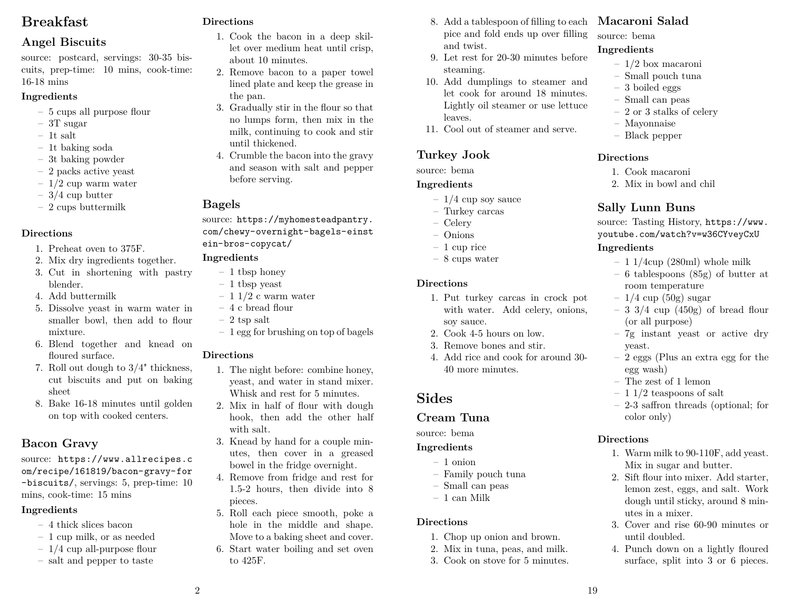# **Breakfast**

# **Angel Biscuits**

source: postcard, servings: 30-35 biscuits, prep-time: 10 mins, cook-time: 16-18 mins

### **Ingredients**

- 5 cups all purpose flour
- 3T sugar
- 1t salt
- 1t baking soda
- 3t baking powder
- 2 packs active yeast
- $-1/2$  cup warm water
- $-3/4$  cup butter
- 2 cups buttermilk

## **Directions**

- 1. Preheat oven to 375F.
- 2. Mix dry ingredients together.
- 3. Cut in shortening with pastry blender.
- 4. Add buttermilk
- 5. Dissolve yeast in warm water in smaller bowl, then add to flour mixture.
- 6. Blend together and knead on floured surface.
- 7. Roll out dough to 3/4" thickness, cut biscuits and put on baking sheet
- 8. Bake 16-18 minutes until golden on top with cooked centers.

# **Bacon Gravy**

source: https://www.allrecipes.c om/recipe/161819/bacon-gravy-for -biscuits/, servings: 5, prep-time: 10 mins, cook-time: 15 mins

# **Ingredients**

- 4 thick slices bacon
- 1 cup milk, or as needed
- $-1/4$  cup all-purpose flour
- salt and pepper to taste

# **Directions**

- 1. Cook the bacon in a deep skillet over medium heat until crisp, about 10 minutes.
- 2. Remove bacon to a paper towel lined plate and keep the grease in the pan.
- 3. Gradually stir in the flour so that no lumps form, then mix in the milk, continuing to cook and stir until thickened.
- 4. Crumble the bacon into the gravy and season with salt and pepper before serving.

### **Bagels**

source: https://myhomesteadpantry. com/chewy-overnight-bagels-einst ein-bros-copycat/

### **Ingredients**

- 1 tbsp honey
- 1 tbsp yeast
- $-11/2$  c warm water
- 4 c bread flour
- $-2$  tsp salt
- 1 egg for brushing on top of bagels

## **Directions**

2

- 1. The night before: combine honey, yeast, and water in stand mixer. Whisk and rest for 5 minutes.
- 2. Mix in half of flour with dough hook, then add the other half with salt.
- 3. Knead by hand for a couple minutes, then cover in a greased bowel in the fridge overnight.
- 4. Remove from fridge and rest for 1.5-2 hours, then divide into 8 pieces.
- 5. Roll each piece smooth, poke a hole in the middle and shape. Move to a baking sheet and cover.
- 6. Start water boiling and set oven to 425F.
- 8. Add a tablespoon of filling to each pice and fold ends up over filling and twist.
- 9. Let rest for 20-30 minutes before steaming.
- 10. Add dumplings to steamer and let cook for around 18 minutes. Lightly oil steamer or use lettuce leaves.
- 11. Cool out of steamer and serve.

# **Turkey Jook**

source: bema

### **Ingredients**

- $-1/4$  cup soy sauce
- Turkey carcas
- Celery
- Onions
- $-1$  cup rice
- 8 cups water

### **Directions**

- 1. Put turkey carcas in crock pot with water. Add celery, onions, soy sauce.
- 2. Cook 4-5 hours on low.
- 3. Remove bones and stir.
- 4. Add rice and cook for around 30- 40 more minutes.

# **Sides**

# **Cream Tuna**

source: bema

### **Ingredients**

- 1 onion
- Family pouch tuna
- Small can peas
- 1 can Milk

## **Directions**

- 1. Chop up onion and brown.
- 2. Mix in tuna, peas, and milk.
- 3. Cook on stove for 5 minutes.

# **Macaroni Salad**

source: bema

# **Ingredients**

- 1/2 box macaroni
- Small pouch tuna
- 3 boiled eggs
- Small can peas
- 2 or 3 stalks of celery
- Mayonnaise
- Black pepper

# **Directions**

- 1. Cook macaroni
- 2. Mix in bowl and chil

# **Sally Lunn Buns**

source: Tasting History, https://www. youtube.com/watch?v=w36CYveyCxU

# **Ingredients**

yeast.

egg wash) – The zest of 1 lemon  $-11/2$  teaspoons of salt

color only)

utes in a mixer.

until doubled.

**Directions**

19

- $-11/4$ cup (280ml) whole milk
- 6 tablespoons (85g) of butter at room temperature
- $-1/4$  cup (50g) sugar
- $-3$  3/4 cup (450g) of bread flour (or all purpose) – 7g instant yeast or active dry

– 2 eggs (Plus an extra egg for the

– 2-3 saffron threads (optional; for

1. Warm milk to 90-110F, add yeast. Mix in sugar and butter. 2. Sift flour into mixer. Add starter, lemon zest, eggs, and salt. Work dough until sticky, around 8 min-

3. Cover and rise 60-90 minutes or

4. Punch down on a lightly floured surface, split into 3 or 6 pieces.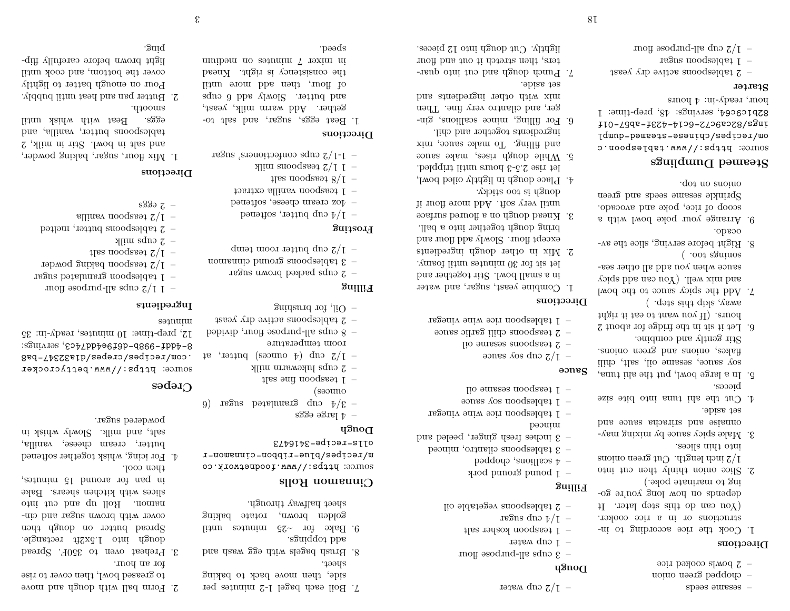- sesame seeds
- chopped green onion
- 2 bowls cooked rice

#### **Directions**

- 1. Cook the rice according to instructions or in a rice cooker. (You can do this step later. It depends on how long you're going to marinate poke.)
- 2. Slice onion thinly then cut into 2 inch length. Cut green onions into thin slices.
- 3. Make spicy sauce by mixing mayonnaise and sriracha sauce and set aside.
- 4. Cut the ahi tuna into bite size pieces.
- 5. In a large bowl, put the ahi tuna, soy sauce, sesame oil, salt, chili flakes, onions and green onions. Stir gently and combine.
- 6. Let it sit in the fridge for about  $2$ hours. (If you want to eat it right away, skip this step. )
- 7. Add the spicy sauce to the bowl and mix well. (You can add spicy sauce when you add all other seasonings too. )
- 8. Right before serving, slice the avocado.
- 9. Arrange your poke bowl with a scoop of rice, poke and avocado. Sprinkle sesame seeds and green onions on top.

### **Steamed Dumplings**

source: https://www.tablespoon.c om/recipes/chinese-steamed-dumpl ings/82ca9c72-6c14-423f-ab57-01f 82p1c9c64, servings:  $48$ , prep-time: 1 smou  $\phi$  : ui-Apress 'mours'

#### **Starter**

- $-$  2 tablespoons active dry yeast
- 1 tablespoon sugar
- 
- and-last qubit the set of  $z/\tau$  –
- 

- **Dough**
- 3 cups all-purpose flour
- $-$  1 cup water
- 
- 1 teaspoon kosher salt
- regues quo  $\frac{1}{r}$  /  $\frac{1}{r}$  –

 $-$  1/2 cup water

- 2 tablespoons vegetable oil
- 

# **Filling**

- 1 pound ground pork
- 4 scallions, chopped
- 3 tablespoons cilantro, minced
- 3 inches fresh ginger, peeled and
- peouitu
- 1 tablespoon rice wine vinegar
- $-$  1 tablespoon soy sauce
- 1 teaspoon sesame oil

# **Sauce**

- $\gamma$ <sub>1</sub>  $\gamma$ <sub>2</sub> cmb solves to some
- 2 teaspoons sesame oil
- 2 teaspoons chili garlic sauce
- 1 tablespoon rice wine vinegar

### **Directions**

18

- 1. Combine yeast, sugar, and water
- in a small bowl. Stir together and let sit for 30 minutes until foamy.
- 2. Mix in other dough ingredients except flour. Slowly add flour and
- bring dough together into a ball. 3. Knead dough on a floured surface until very soft. Add more flour if
- dough is too sticky. 4. Place dough in lightly oiled bowl,
- let rise 2.5-3 hours until trippled. 5. While dough rises, make sauce
- and filling. To make sauce, mix ingredients together and chil.
- 6. For filling, mince scallions, ginger, and cilantro very fine. Then mix with other ingredients and
- set aside. 7. Punch dough and cut into quarters, then stretch it out and flour
- lightly. Cut dough into 12 pieces.

- 2 cups lukewarm milk  $-1/2$  cup  $(\frac{4}{9}$  ounces) butter, at
- room temperature  $\epsilon$  all-purpose flour, divided
- $-$  2 tablespoons active dry yeast
- guidarid rof  $\mu$ O -

### **Filling**

- regus more paped sugar  $z -$
- 
- 3 tablespoons ground cinnamon
- $-1/2$  cup butter room temp

# **Frosting**

- $-$  1/4 cup butter, softened
- $-\gamma$ oz cream cheese, softened
- 1 teaspoon vanilla extract
- $1$ las nooqaa $3/1$  –
- 
- $\frac{1}{2}$  1 1/2 teaspoons milk
- $-$  1-1/2 cups confectioners, sugar

## **Directions**

1. Beat eggs, sugar, and salt together. Add warm milk, yeast, and butter. Slowly add 6 cups of flour, then add more until the consistency is right. Knead mites 7 minutes on medium speed.

- 7. Boil each bagel 1-2 minutes per side, then move back to baking 2. Form ball with dough and move to greased bowl, then cover to rise for an hour.
- sheet.
- bns dasw gge diw alegad darr<br/>H $\,$ .8
- add toppings. 9. Bake for ~25 minutes until golden brown, rotate baking sheet halfway through.
- **Cinnamon Rolls**

source: https://www.foodnetwork.co m/recipes/blue-ribbon-cinnamon-r olls-recipe-3416473

# **Dough**

ounces)

 $-$  4 large eggs

 $1$  teaspoon fine salt  $-$ 

 $(-9)$  argue potalulated sugar (6

# **Crepes**

house: prips://www.bettycrocker .com/recipes/crepes/d1a32347-ba8 8-ddf-988b-d6f9e4ddf-8; servings: 12, prep-time: 10 minutes, ready-in: 35 sənuut

3. Preheat oven to 350F. Spread dough into 1.5x2.1 extangle. Spread butter on dough then cover with brown sugar and cinnamon. Roll up and cut into slices with kitchen shears. Bake in pan for around 15 minutes,

4. For icing, whisk together softened butter, cream cheese, vanilla, salt, and milk. Slowly whisk in

#### **Ingredients**

- and-like squbs  $\frac{2}{\pi}$  1 | 1 |  $\frac{1}{\pi}$  |  $\frac{1}{\pi}$  |  $\frac{1}{\pi}$  |  $\frac{1}{\pi}$  |  $\frac{1}{\pi}$  |  $\frac{1}{\pi}$  |  $\frac{1}{\pi}$  |  $\frac{1}{\pi}$  |  $\frac{1}{\pi}$  |  $\frac{1}{\pi}$  |  $\frac{1}{\pi}$  |  $\frac{1}{\pi}$  |  $\frac{1}{\pi}$  |  $\frac{1}{\pi}$  |  $\frac{1$
- 1 tablespoon granulated sugar
- 
- $-$  1/2 teaspoon baking powder
- $1$ las nooqaa $3/1$  -
- $\gamma$  zijku sdno z

then cool.

powdered sugar.

- $-$  2 tablespoons butter, melted
- allinsy nooqaast  $2/1$  -
- 
- s $3397 -$

### **Directions**

- 1. Mix flour, sugar, baking powder, and salt in bowl. Stir in milk, 2 tablespoons butter, vanilla, and eggs. Beat with whisk until smooth.
- 2. Butter pan and heat until bubbly. Pour on enough batter to lightly cover the bottom, and cook until light brown before carefully flipping.

3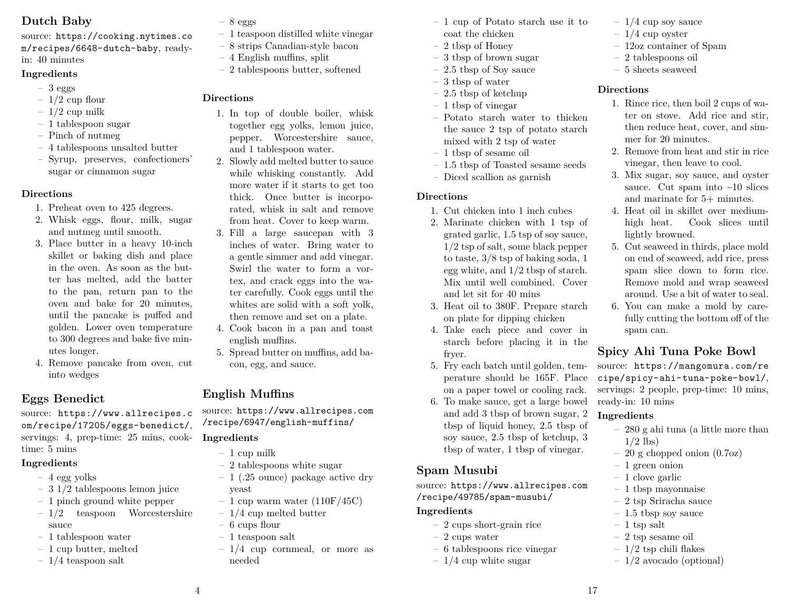# **Dutch Baby**

source: https://cooking.nytimes.co m/recipes/6648-dutch-baby, readyin: 40 minutes

### **Ingredients**

- $-3$  eggs
- $-1/2$  cup flour
- $-1/2$  cup milk
- 1 tablespoon sugar
- Pinch of nutmeg
- 4 tablespoons unsalted butter
- Syrup, preserves, confectioners' sugar or cinnamon sugar

### **Directions**

- 1. Preheat oven to 425 degrees.
- 2. Whisk eggs, flour, milk, sugar and nutmeg until smooth.
- 3. Place butter in a heavy 10-inch skillet or baking dish and place in the oven. As soon as the butter has melted, add the batter to the pan, return pan to the oven and bake for 20 minutes, until the pancake is puffed and golden. Lower oven temperature to 300 degrees and bake five minutes longer.
- 4. Remove pancake from oven, cut into wedges

# **Eggs Benedict**

source: https://www.allrecipes.c om/recipe/17205/eggs-benedict/, servings: 4, prep-time: 25 mins, cooktime: 5 mins

# **Ingredients**

- $-4$  egg yolks
- 3 1/2 tablespoons lemon juice
- 1 pinch ground white pepper
- 1/2 teaspoon Worcestershire sauce
- 1 tablespoon water
- 1 cup butter, melted
- $-1/4$  teaspoon salt
- $-8$  eggs
- 1 teaspoon distilled white vinegar
- 8 strips Canadian-style bacon
- 4 English muffins, split
- 2 tablespoons butter, softened

# **Directions**

- 1. In top of double boiler, whisk together egg yolks, lemon juice, pepper, Worcestershire sauce, and 1 tablespoon water.
- 2. Slowly add melted butter to sauce while whisking constantly. Add more water if it starts to get too thick. Once butter is incorporated, whisk in salt and remove from heat. Cover to keep warm.
- 3. Fill a large saucepan with 3 inches of water. Bring water to a gentle simmer and add vinegar. Swirl the water to form a vortex, and crack eggs into the water carefully. Cook eggs until the whites are solid with a soft yolk, then remove and set on a plate.
- 4. Cook bacon in a pan and toast english muffins.
- 5. Spread butter on muffins, add bacon, egg, and sauce.

# **English Muffins**

source: https://www.allrecipes.com /recipe/6947/english-muffins/

# **Ingredients**

- $-1$  cup milk
- 2 tablespoons white sugar
- 1 (.25 ounce) package active dry yeast
- 1 cup warm water  $(110F/45C)$
- 1/4 cup melted butter
- 6 cups flour
- 1 teaspoon salt
- $-1/4$  cup cornmeal, or more as needed
- 1 cup of Potato starch use it to coat the chicken
- 2 tbsp of Honey
- 3 tbsp of brown sugar
- 2.5 tbsp of Soy sauce
- 3 tbsp of water
- $-2.5$  thsp of ketchup
- 1 tbsp of vinegar
- Potato starch water to thicken the sauce 2 tsp of potato starch mixed with 2 tsp of water
- 1 tbsp of sesame oil
- 1.5 tbsp of Toasted sesame seeds
- Diced scallion as garnish

### **Directions**

- 1. Cut chicken into 1 inch cubes
- 2. Marinate chicken with 1 tsp of grated garlic, 1.5 tsp of soy sauce, 1/2 tsp of salt, some black pepper to taste, 3/8 tsp of baking soda, 1 egg white, and 1/2 tbsp of starch. Mix until well combined. Cover and let sit for 40 mins
- 3. Heat oil to 380F. Prepare starch on plate for dipping chicken
- 4. Take each piece and cover in starch before placing it in the fryer.
- 5. Fry each batch until golden, temperature should be 165F. Place on a paper towel or cooling rack.
- 6. To make sauce, get a large bowel and add 3 tbsp of brown sugar, 2 tbsp of liquid honey, 2.5 tbsp of soy sauce, 2.5 tbsp of ketchup, 3 tbsp of water, 1 tbsp of vinegar.

# **Spam Musubi**

source: https://www.allrecipes.com /recipe/49785/spam-musubi/

## **Ingredients**

- 2 cups short-grain rice
- 2 cups water
- 6 tablespoons rice vinegar
- $-1/4$  cup white sugar
- $-1/4$  cup soy sauce
- $-1/4$  cup oyster
- 12oz container of Spam
- 2 tablespoons oil
- 5 sheets seaweed

# **Directions**

- 1. Rince rice, then boil 2 cups of water on stove. Add rice and stir, then reduce heat, cover, and simmer for 20 minutes.
- 2. Remove from heat and stir in rice vinegar, then leave to cool.
- 3. Mix sugar, soy sauce, and oyster sauce. Cut spam into  $\sim 10$  slices and marinate for 5+ minutes.
- 4. Heat oil in skillet over mediumhigh heat. Cook slices until lightly browned.
- 5. Cut seaweed in thirds, place mold on end of seaweed, add rice, press spam slice down to form rice. Remove mold and wrap seaweed around. Use a bit of water to seal.
- 6. You can make a mold by carefully cutting the bottom off of the spam can.

# **Spicy Ahi Tuna Poke Bowl**

source: https://mangomura.com/re cipe/spicy-ahi-tuna-poke-bowl/, servings: 2 people, prep-time: 10 mins, ready-in: 10 mins

# **Ingredients**

- 280 g ahi tuna (a little more than  $1/2$  lbs)
- 20 g chopped onion (0.7oz)
- 1 green onion
- 1 clove garlic
- 1 tbsp mayonnaise
- 2 tsp Sriracha sauce
- 1.5 tbsp soy sauce
- $-1$  tsp salt
- 2 tsp sesame oil
- $-1/2$  tsp chili flakes
- 1/2 avocado (optional)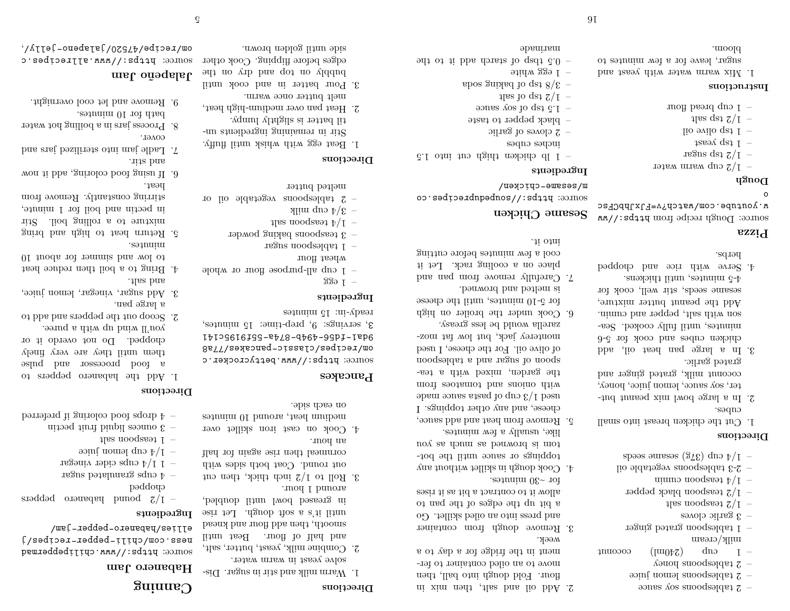- $\epsilon$  approximations solve super
- $\sim$  2 tablespoons lemon juice
- $\sim$  2 tablespoons honey
- $_1$  cup ( $\text{Im}(1-\text{Im}(1))$  coconne milk/cream
- 1 tablespoon grated ginger
- $\epsilon$  3 garlic cloves
- $1$ las nooqaa $3/1$  –
- $-1/2$  teaspoon plack pepper
- nimus noodseeq  $\frac{1}{2}$  /[ -
- 2-3 tablespoons vegetable oil
- spass ourses ( $32\text{g}$ ) dno  $\frac{1}{7}$  -

#### **Directions**

- 1. Cut the chicken breast into small cubes.
- 2. In a large bowl mix peanut butter, soy sauce, lemon juice, honey, coconut milk, grated ginger and grated garlic.
- 3. In a large pan heat oil, add chicken cubes and cook for 5-6 minutes, until fully cooked. Season with salt, pepper and cumin. Add the peanut butter mixture, sesame seeds, stir well, cook for 4-5 minutes, until thickens.
- 4. Serve with rice and chopped herbs.

#### **Pizza**

source: Dough recipe from https://ww w.youtube.com/watch?v=FJxJhbCFsc

### o

- 
- 
- regues det  $Z/I$  –
- $+$  1 tsp yeast
- 
- 
- 
- 
- 1. Mix warm water with yeast and sugar, leave for a few minutes to bloom.
- marinade

2. Add oil and salt, then mix in flour. Fold dough into ball, then move to an oiled container to ferment in the fridge for a day to a week.

**Directions**

1. Warm milk and stir in sugar. Dissolve yeast in warm water. 2. Combine milk, yeast, butter, salt, and half of flour. Beat until smooth, then add flour and knead until it's a soft dough. Let rise in greased bowl until doubled,

3. Roll to  $1/2$  inch thick, then cut out round. Coat both sides with cornmeal then rise again for half

4. Cook on cast iron skillet over medium heat, around 10 minutes

source: https://www.bettycrocker.c om/recipes/classic-pancakes/77a8 9da1-fd56-494b-874a-55f9195c141 , servings: 9, prep-time: 15 minutes, 3

 $-$  1 cup all-purpose flour or whole

– 2 tablespoons vegetable oil or

1. Beat egg with whisk until fluffy. Stir in remaining ingredients until batter is slightly lumpy. 2. Heat pan over medium-high heat, melt butter once warm. 3. Pour batter in and cook until bubbly on the dot and the set edges before flipping. Cook other

side until golden brown.

– 3 teaspoons baking powder

around 1 hour.

an hour.

ready-in: 15 minutes

wheat flour  $-$  1 tablespoon sugar

 $1$ las nooqaa $\frac{1}{2}$  +  $\frac{1}{2}$  - $-$  3/4 cup milk

melted butter

**Pancakes**

**Ingredients**  $-$  1  $-$ 

**Directions**

on each side.

- 3. Remove dough from container and press into an oiled skillet. Go a bit up the edges of the pan to allow it to contract a bit as it rises
- for ~30 minutes. 4. Cook dough in skillet without any
- toppings or sauce until the bottom is browned as much as you
- like, usually a few minutes. 5. Remove from heat and add sauce, cheese, and any other toppings. I used 1/3 cup of pasta sauce made with onions and tomatoes from the garden, mixed with a teaspoon of sugar and a tablespoon of olive oil. For the cheese, I used monterey jack, but low fat mozzarella would be less greasy.
- 6. Cook under the broiler on high for 5-10 minutes, until the cheese is melted and browned.
- 7. Carefully remove from pan and place on a cooling rack. Let it cool a few minutes before cutting into it.

# **Sesame Chicken**

source: https://soupeduprecipes.co m/sesame-chicken/

#### **Ingredients**

**91** 

- $\epsilon$ . 1 lb chicken thigh cut into 1.5
- inches cubes
- $\sim$  2 cloves of garlic
- black pepper to taste
- $\epsilon$  1.5 to solve solves to dst c.1
- $1$ las to qet  $2\sqrt{1}$  –
- abos gaixed to qet  $8/\epsilon$  -
- 
- 1 egg white
- $\alpha$  and  $\alpha$  is the distribution and  $\alpha$  or the theorem is the distribution of the state in the state in the state in the state in the state in the state in the state in the state in the state in the state in the state
- 
- 

# **Canning**

### **Habanero Jam**

source: https://www.chilipeppermad ness.com/chili-pepper-recipes/j ellies/habanero-pepper-jam/

#### **Ingredients**

- $-$  1/2 pound habanero peppers chopped
- $\pm$  0 cups granulated sugar
- $-$  1 1/4 cups cider vinegar
- $\rightarrow$  1/4 cup lemon juice
- 
- $1$  teaspoon salt  $-$
- $\epsilon$  3 ounces liquid pind pectin
- berred in gairoloo bool sqorb  $\mathfrak{h}$  -

#### **Directions**

- 1. Add the habanero peppers to a food processor and pulse them until they are very finely chopped. Do not overdo it or
- you'll wind up with a puree. 2. Scoop out the peppers and add to a large pan.
- 3. Add sugar, vinegar, lemon juice, and salt.
- 4. Bring to a boil then reduce heat to low and simmer for about 10
- minutes. 5. Return heat to high and bring mixture to a rolling boil. Stir
- in pectin and boil for 1 minute, stirring constantly. Remove from heat.
- 6. If using food coloring, add it now
- and stir. 7. Ladle jam into sterilized jars and
- cover. 8. Process jars in a boiling hot water
- bath for 10 minutes. 9. Remove and let cool overnight.

# **Jalapeño Jam**

source: https://www.allrecipes.c , om/recipe/47520/jalapeno-jelly/

- 
- 

# **Dough**

- $-$  1/2 cup warm water
- 
- 
- lio  $\sigma$ vilo qe $\sigma$  1 –
- $1$ las qet  $2/1$  -
- moff beard quo  $I -$

#### **Instructions**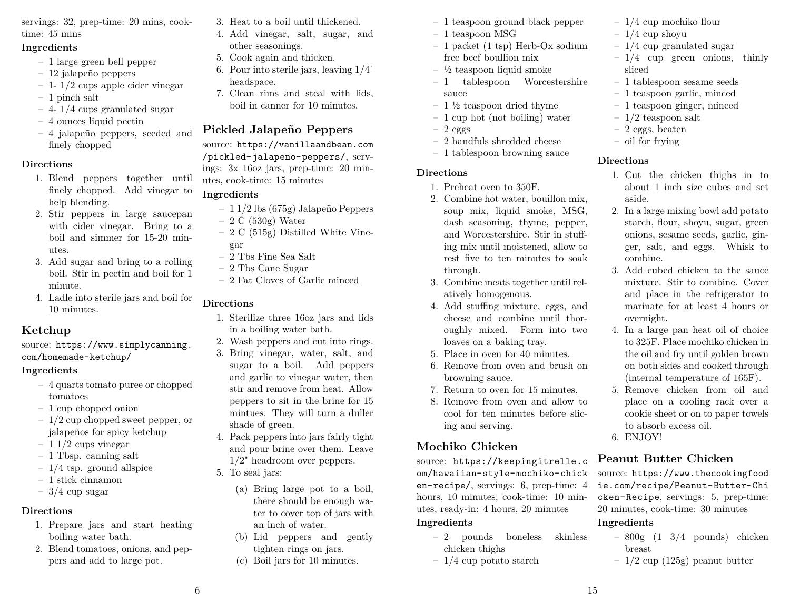servings: 32, prep-time: 20 mins, cooktime: 45 mins

### **Ingredients**

- 1 large green bell pepper
- 12 jalapeño peppers
- $-1$  1/2 cups apple cider vinegar
- 1 pinch salt
- 4- 1/4 cups granulated sugar
- 4 ounces liquid pectin
- 4 jalapeño peppers, seeded and finely chopped

## **Directions**

- 1. Blend peppers together until finely chopped. Add vinegar to help blending.
- 2. Stir peppers in large saucepan with cider vinegar. Bring to a boil and simmer for 15-20 minutes.
- 3. Add sugar and bring to a rolling boil. Stir in pectin and boil for 1 minute.
- 4. Ladle into sterile jars and boil for 10 minutes.

# **Ketchup**

source: https://www.simplycanning. com/homemade-ketchup/

### **Ingredients**

- 4 quarts tomato puree or chopped tomatoes
- 1 cup chopped onion
- 1/2 cup chopped sweet pepper, or jalapeños for spicy ketchup
- $-11/2$  cups vinegar
- 1 Tbsp. canning salt
- $-1/4$  tsp. ground allspice
- 1 stick cinnamon
- $-3/4$  cup sugar

# **Directions**

- 1. Prepare jars and start heating boiling water bath.
- 2. Blend tomatoes, onions, and peppers and add to large pot.
- 3. Heat to a boil until thickened.
- 4. Add vinegar, salt, sugar, and other seasonings.
- 5. Cook again and thicken.
- 6. Pour into sterile jars, leaving 1/4" headspace.
- 7. Clean rims and steal with lids, boil in canner for 10 minutes.

# **Pickled Jalapeño Peppers**

source: https://vanillaandbean.com /pickled-jalapeno-peppers/, servings: 3x 16oz jars, prep-time: 20 minutes, cook-time: 15 minutes

# **Ingredients**

- 1 1/2 lbs (675g) Jalapeño Peppers
- $-2 C (530g) Water$
- 2 C (515g) Distilled White Vinegar
- 2 Tbs Fine Sea Salt
- 2 Tbs Cane Sugar
- 2 Fat Cloves of Garlic minced

# **Directions**

- 1. Sterilize three 16oz jars and lids in a boiling water bath.
- 2. Wash peppers and cut into rings.
- 3. Bring vinegar, water, salt, and sugar to a boil. Add peppers and garlic to vinegar water, then stir and remove from heat. Allow peppers to sit in the brine for 15 mintues. They will turn a duller shade of green.
- 4. Pack peppers into jars fairly tight and pour brine over them. Leave 1/2" headroom over peppers.
- 5. To seal jars:
	- (a) Bring large pot to a boil, there should be enough water to cover top of jars with an inch of water.
	- (b) Lid peppers and gently tighten rings on jars.
	- (c) Boil jars for 10 minutes.
- 1 teaspoon ground black pepper
- 1 teaspoon MSG
- 1 packet (1 tsp) Herb-Ox sodium free beef boullion mix
- $-$  ½ teaspoon liquid smoke
- 1 tablespoon Worcestershire sauce
- $-1\frac{1}{2}$  teaspoon dried thyme
- 1 cup hot (not boiling) water
- $-2$  eggs
- 2 handfuls shredded cheese
- 1 tablespoon browning sauce

### **Directions**

- 1. Preheat oven to 350F.
- 2. Combine hot water, bouillon mix, soup mix, liquid smoke, MSG, dash seasoning, thyme, pepper, and Worcestershire. Stir in stuffing mix until moistened, allow to rest five to ten minutes to soak through.
- 3. Combine meats together until relatively homogenous.
- 4. Add stuffing mixture, eggs, and cheese and combine until thoroughly mixed. Form into two loaves on a baking tray.
- 5. Place in oven for 40 minutes.
- 6. Remove from oven and brush on browning sauce.
- 7. Return to oven for 15 minutes.
- 8. Remove from oven and allow to cool for ten minutes before slicing and serving.

# **Mochiko Chicken**

source: https://keepingitrelle.c om/hawaiian-style-mochiko-chick en-recipe/, servings: 6, prep-time: 4 hours, 10 minutes, cook-time: 10 minutes, ready-in: 4 hours, 20 minutes **Ingredients**

- 2 pounds boneless skinless chicken thighs
- $-1/4$  cup potato starch
- 1/4 cup mochiko flour
- $-1/4$  cup shoyu
- $-1/4$  cup granulated sugar
- $-1/4$  cup green onions, thinly sliced
- 1 tablespoon sesame seeds
- 1 teaspoon garlic, minced
- 1 teaspoon ginger, minced
- $-1/2$  teaspoon salt
- 2 eggs, beaten
- oil for frying

# **Directions**

- 1. Cut the chicken thighs in to about 1 inch size cubes and set aside.
- 2. In a large mixing bowl add potato starch, flour, shoyu, sugar, green onions, sesame seeds, garlic, ginger, salt, and eggs. Whisk to combine.
- 3. Add cubed chicken to the sauce mixture. Stir to combine. Cover and place in the refrigerator to marinate for at least 4 hours or overnight.
- 4. In a large pan heat oil of choice to 325F. Place mochiko chicken in the oil and fry until golden brown on both sides and cooked through (internal temperature of 165F).
- 5. Remove chicken from oil and place on a cooling rack over a cookie sheet or on to paper towels to absorb excess oil.
- 6. ENJOY!

# **Peanut Butter Chicken**

source: https://www.thecookingfood ie.com/recipe/Peanut-Butter-Chi cken-Recipe, servings: 5, prep-time: 20 minutes, cook-time: 30 minutes

# **Ingredients**

- $-800g$   $(1 \frac{3}{4}$  pounds) chicken breast
- $-1/2$  cup (125g) peanut butter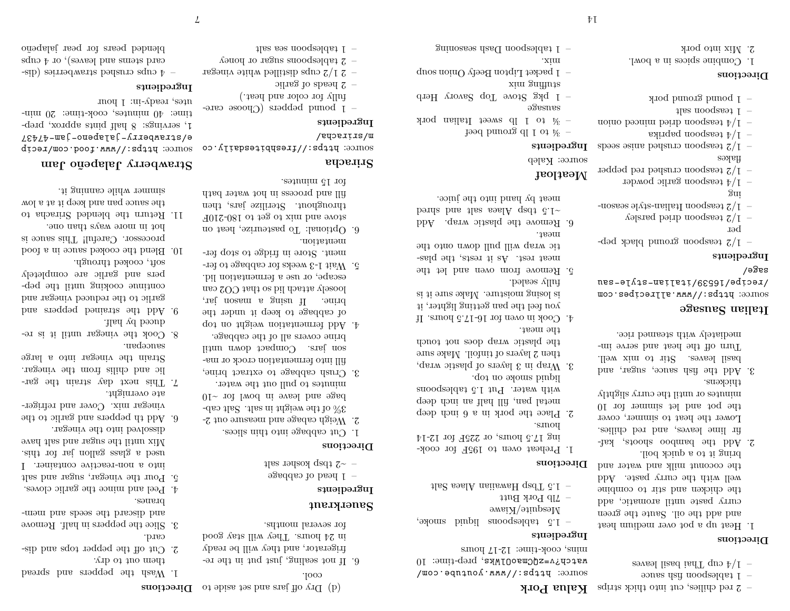- $-$  2 red chilies, cut into thick strips **Kalua Pork**
- $\epsilon$  1 tables books and same same s
- esvest lized iadT quo  $\frac{1}{2}$  –

#### **Directions**

- 1. Heat up a pot over medium heat and add the oil. Saute the green curry paste until aromatic, add the chicken and stir to combine well with the curry paste. Add the coconut milk and water and
- bring it to a quick boil. 2. Add the bamboo shoots, kaffir lime leaves, and red chilies. Lower the heat to simmer, cover the pot and let simmer for 10 minutes or until the curry slightly thickens.
- 3. Add the fish sauce, sugar, and basil leaves. Stir to mix well. Turn off the heat and serve immediately with steamed rice.

#### **Italian Sausage**

source: https://www.allrecipes.com /recipe/16539/italian-style-sau sage/

#### **Ingredients**

- $-1/2$  teaspoon ground black pepper
- $\gamma$  teaspoon dried parsley
- 1/2 teaspoon Italian-style seasoning
- 1/4 teaspoon garlic powder
- $-$  1/2 teaspoon crushed red pepper flakes
- $-1/2$  teaspoon crushed anise seeds
- asing a moodseed  $\frac{1}{4}$  -
- noino beaming being moods as  $\frac{1}{4}$  -
- 1 teaspoon salt
- 1 pound ground pork

# **Directions**

- 1. Combine spices in a bowl.
- 2. Mix into pork
- 1 tablespoon Dash seasoning

Mesquite/Kiawe

**Ingredients**

–  $Z$ Ip Pork Butt

mins, cook-time: 12-17 hours

 $1.5$  and  $1.5$  Tbs are also matrix and  $1.5$  Tbs and  $2.1$ 

– 1.5 tablespoons liquid smoke,

https://www.youtube.com/ source: watch?v=zQCmaoOlWks, prep-time: 10

## **Directions**

- 1. Preheat oven to 195F for cooking 17.5 hours, or 225F for 12-14
- hours. 2. Place the pork in a 6 inch deep metal pan, fill half an inch deep with water. Put 1.5 tablespoons
- liquid smoke on top. 3. Wrap in 3 layers of plastic wrap, then 2 layers of tinfoil. Make sure the plastic wrap does not touch
- the meat. 4. Cook in oven for 16-17.5 hours. If you feel the pan getting lighter, it
- is losing moisture. Make sure it is fully sealed.
- 5. Remove from oven and let the meat rest. As it rests, the plastic wrap will pull down onto the
- meat. 6. Remove the plastic wrap. Add being band also seek quade 3.1 $\sim$
- meat by hand into the juice.

# **Meatloaf**

# source: Kaleb

- **Ingredients**
- to 1 lb ground beef
- $\frac{1}{2}$  is not leading pork  $\frac{1}{2}$  and  $\frac{1}{2}$  and  $\frac{1}{2}$  and  $\frac{1}{2}$  and  $\frac{1}{2}$  and  $\frac{1}{2}$  and  $\frac{1}{2}$  and  $\frac{1}{2}$  and  $\frac{1}{2}$  and  $\frac{1}{2}$  and  $\frac{1}{2}$  and  $\frac{1}{2}$  and  $\frac{1}{2}$  and  $\frac{1}{2}$
- sausage – 1 pkg Stove Top Savory Herb
- stuffing mix
- 1 packet Lipton Beefy Onion soup
- .xim
- 
- 
- 

of  $\det$  bias that and set aside to **Directions** 

cool.

for several months.

 $-$  1 head of cabbage  $1$ las rokoko kosher salt

mentation.

for 15 minutes.

 $\alpha$  beads of garlic

 $1$  tablespoon sea salt

**Sriracha**

m/sriracha/ **Ingredients**

6. Optional: To pasteurize, heat on stove and mix to get to 180-210F throughout. Sterilize jars, then fill and process in hot water bath

source: https://freshbitesdaily.co

– 1 pound peppers (Choose carefully for color and heat.)

 $-$  2 1/2 cups distilled white vinegar  $\sim$  2 tablespoons sugar or honey

1. Cut cabbage into thin slices. 2. Weigh cabage and measure out 2- 3% of the weight in salt. Salt cab- $01 -$  rot lwod ni bowl for  $\sim 10$ minutes to pull out the water. 3. Crush cabbage to extract brine, fill into fermentation crock or mason jars. Compact down until brine covers all of the cabbage. 4. Add fermentation weight on top of cabbage to keep it under the brine. If using a mason jar, loosely attach lid so that CO2 can escape, or use a fermentation lid. 5. Wait 1-3 weeks for cabbage to ferment. Store in fridge to stop fer-

> **Sauerkraut Ingredients**

**Directions**

- 6. If not sealing, just put in the refrigerator, and they will be ready 1. Wash the peppers and spread
- in 24 hours. They will stay good them out to dry. 2. Cut off the pepper tops and discard.
- 3. Slice the peppers in half. Remove and discard the seeds and membranes.
- 4. Peel and mince the garlic cloves.
- 5. Pour the vinegar, sugar and salt into a non-reactive container. I used a glass gallon jar for this. Mix until the sugar and salt have
- dissolved into the vinegar. 6. Add th peppers and garlic to the vinegar mix. Cover and refrigerate overnight.
- 7. This next day strain the garlic and chilis from the vinegar. Strain the vinegar into a large saucepan.
- 8. Cook the vinegar until it is reduced by half.
- 9. Add the strained peppers and garlic to the reduced vinegar and continue cooking until the peppers and garlic are completely soft, cooked through.
- 10. Blend the cooked sauce in a food processor. Careful! This sauce is hot in more ways than one.
- 11. Return the blended Sriracha to the sauce pan and keep it at a low simmer while canning it.

# **Strawberry Jalapeño Jam**

source: https://www.food.com/recip e/strawberry-jalapeno-jam-47437 , servings: 8 half pints approx, prep- 1 time: 40 minutes, cook-time: 20 min-

utes, ready-in: 1 hour

### **Ingredients**

– 4 cups crushed strawberries (discard stems and leaves), or  $4 \text{ cups}$ blended pears for pear jalapeño

 $\overline{V}$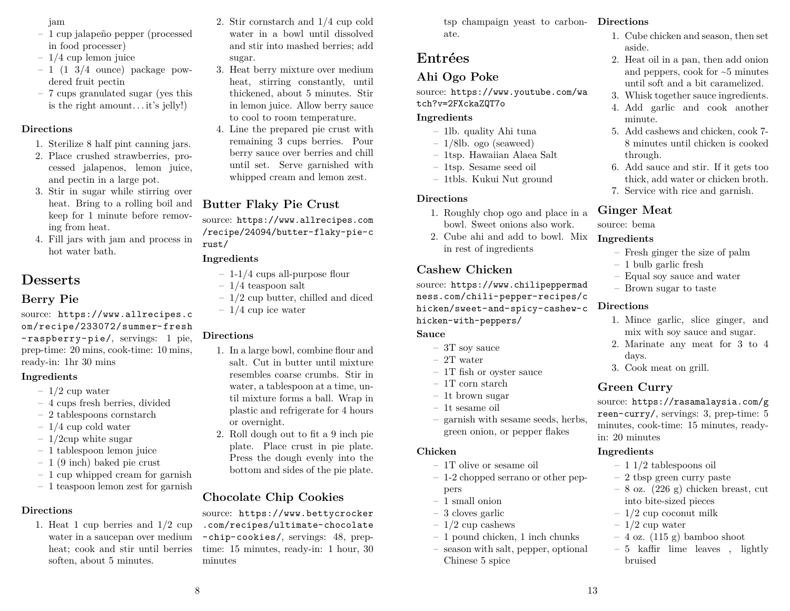#### jam

- 1 cup jalapeño pepper (processed in food processer)
- $-1/4$  cup lemon juice
- $-1$  (1 3/4 ounce) package powdered fruit pectin
- 7 cups granulated sugar (yes this is the right amount. . . it's jelly!)

### **Directions**

- 1. Sterilize 8 half pint canning jars.
- 2. Place crushed strawberries, processed jalapenos, lemon juice, and pectin in a large pot.
- 3. Stir in sugar while stirring over heat. Bring to a rolling boil and keep for 1 minute before removing from heat.
- 4. Fill jars with jam and process in hot water bath.

# **Desserts**

# **Berry Pie**

source: https://www.allrecipes.c om/recipe/233072/summer- fresh - raspberry- pie/, servings: 1 pie, prep-time: 20 mins, cook-time: 10 mins, ready-in: 1hr 30 mins

#### **Ingredients**

- $-1/2$  cup water
- 4 cups fresh berries, divided
- 2 tablespoons cornstarch
- $-1/4$  cup cold water
- $-1/2$ cup white sugar
- 1 tablespoon lemon juice
- 1 (9 inch) baked pie crust
- 1 cup whipped cream for garnish
- 1 teaspoon lemon zest for garnish

### **Directions**

1. Heat 1 cup berries and 1/2 cup water in a saucepan over medium heat; cook and stir until berries soften, about 5 minutes.

- 2. Stir cornstarch and 1/4 cup cold water in a bowl until dissolved and stir into mashed berries; add sugar.
- 3. Heat berry mixture over medium heat, stirring constantly, until thickened, about 5 minutes. Stir in lemon juice. Allow berry sauce to cool to room temperature.
- 4. Line the prepared pie crust with remaining 3 cups berries. Pour berry sauce over berries and chill until set. Serve garnished with whipped cream and lemon zest.

# **Butter Flaky Pie Crust**

source: https://www.allrecipes.com /recipe/24094/butter-flaky-pie-c rust/

### **Ingredients**

- 1-1/4 cups all-purpose flour
- $-1/4$  teaspoon salt
- 1/2 cup butter, chilled and diced
- $-1/4$  cup ice water

### **Directions**

8

- 1. In a large bowl, combine flour and salt. Cut in butter until mixture resembles coarse crumbs. Stir in water, a tablespoon at a time, until mixture forms a ball. Wrap in plastic and refrigerate for 4 hours or overnight.
- 2. Roll dough out to fit a 9 inch pie plate. Place crust in pie plate. Press the dough evenly into the bottom and sides of the pie plate.

# **Chocolate Chip Cookies**

source: https://www.bettycrocker .com/recipes/ultimate-chocolate -chip-cookies/, servings: 48, preptime: 15 minutes, ready-in: 1 hour, 30 minutes

tsp champaign yeast to carbon-**Directions** ate.

# **Entrées**

# **Ahi Ogo Poke**

source: https://www.youtube.com/wa tch?v=2FXckaZQT7o

### **Ingredients**

- 1lb. quality Ahi tuna
- 1/8lb. ogo (seaweed)
- 1tsp. Hawaiian Alaea Salt
- 1tsp. Sesame seed oil
- 1tbls. Kukui Nut ground

### **Directions**

- 1. Roughly chop ogo and place in a bowl. Sweet onions also work.
- 2. Cube ahi and add to bowl. Mix in rest of ingredients

# **Cashew Chicken**

source: https://www.chilipeppermad ness.com/chili-pepper-recipes/c hicken/sweet-and-spicy-cashew-c hicken-with-peppers/

### **Sauce**

- 3T soy sauce
- 2T water
- 1T fish or oyster sauce
- $-$  1T corn starch
- 1t brown sugar
- 1t sesame oil
- garnish with sesame seeds, herbs, green onion, or pepper flakes

### **Chicken**

- 1T olive or sesame oil
- 1-2 chopped serrano or other peppers
- 1 small onion
- 3 cloves garlic
- $-1/2$  cup cashews
- 1 pound chicken, 1 inch chunks
- season with salt, pepper, optional Chinese 5 spice

- 1. Cube chicken and season, then set aside.
- 2. Heat oil in a pan, then add onion and peppers, cook for ~5 minutes until soft and a bit caramelized.
- 3. Whisk together sauce ingredients.
- 4. Add garlic and cook another minute.
- 5. Add cashews and chicken, cook 7- 8 minutes until chicken is cooked through.
- 6. Add sauce and stir. If it gets too thick, add water or chicken broth.
- 7. Service with rice and garnish.

# **Ginger Meat**

source: bema

### **Ingredients**

- Fresh ginger the size of palm
- 1 bulb garlic fresh
- Equal soy sauce and water
- Brown sugar to taste

### **Directions**

- 1. Mince garlic, slice ginger, and mix with soy sauce and sugar.
- 2. Marinate any meat for 3 to 4 days.
- 3. Cook meat on grill.

# **Green Curry**

source: https://rasamalaysia.com/g reen-curry/, servings: 3, prep-time: 5 minutes, cook-time: 15 minutes, readyin: 20 minutes

### **Ingredients**

13

- 1 1/2 tablespoons oil
- 2 tbsp green curry paste
- $-8$  oz. (226 g) chicken breast, cut into bite-sized pieces
- $-1/2$  cup coconut milk
- $-1/2$  cup water
- 4 oz. (115 g) bamboo shoot
- 5 kaffir lime leaves , lightly bruised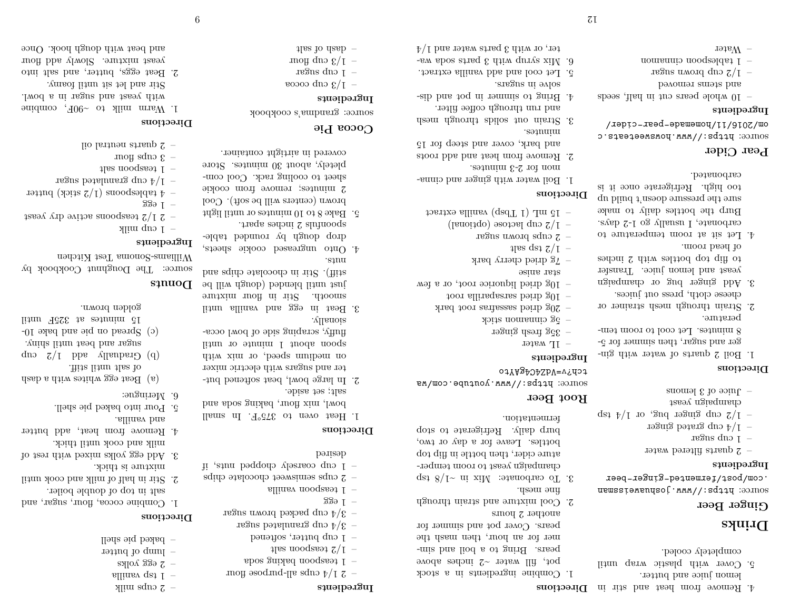- 4. Remove from heat and stir in **Directions** lemon juice and butter.
- 5. Cover with plastic wrap until completely cooled.

# **Drinks**

#### **Ginger Beer**

https://www.joshuaweissman .com/post/fermented-ginger-beer

#### **Ingredients**

- $-$  2 quarts filtered water
- $-$  1 cup sugar
- $-$  1/4 cup grated ginger
- qet  $\frac{1}{2}$  to  $\frac{1}{2}$  or  $\frac{1}{2}$  to  $\frac{1}{2}$  the set of  $\frac{1}{2}$  to  $\frac{1}{2}$  the set of  $\frac{1}{2}$  the set of  $\frac{1}{2}$  the set of  $\frac{1}{2}$  the set of  $\frac{1}{2}$  is  $\frac{1}{2}$  the set of  $\frac{1}{2}$  is  $\frac{1}{2}$  is
- champaign yeast – Juice of 3 lemons

### **Directions**

- 1. Boil 2 quarts of water with ginger and sugar, then simmer for 5- 8 minutes. Let cool to room temperature.
- 2. Strain through mesh strainer or cheese cloth, press out juices.
- 3. Add ginger bug or champaign yeast and lemon juice. Transfer to flip top bottles with 2 inches of head room.
- 4. Let sit at room temperature to carbonate, I usually go 1-2 days. Burp the bottles daily to make sure the pressure doesn't build up too high. Refrigerate once it is carbonated.

### **Pear Cider**

source: https://www.howsweeteats.c om/2016/11/homemade-pear-cider/

#### **Ingredients**

- $-$  10 whole pears cut in half, seeds
- and stems removed
- regue aword que  $2/L$  –
- 1 tablespoon cinnamon
- $-$  Water

1. Combine ingredients in a stock pot, fill water ~2 inches above pears. Bring to a boil and simmer for an hour, then mash the pears. Cover pot and simmer for

**Root Beer**

**Ingredients**  $-$  1L water

tch?v=VdZ4C4gAYto

– 35g fresh ginger – 5g cinnamon stick

star anise

 $4$  use ds<sub>2</sub>  $7/1$  -

minutes.

solve in sugars.

**Directions**

 $75$ 

 $\Delta$  7g dried cherry bark

regus aword squo  $z -1/2$  cup lactose (optional)  $-$  15 mL (1 Tbsp) vanilla extract

mon for 2-3 minutes.

- another 2 hours 2. Cool mixture and strain through fine mesh.
- 3. To carbonate: Mix in  $\sim$  1/8 tsp champaign yeast to room temperature cider, then bottle in flip top bottles. Leave for a day or two, burp daily. Refrigerate to stop fermentation.

source: prips://www.youtube.com/wa

– 20g dried sassafras root bark – 10g dried sarsaparilla root – 10g dried liquorice root, or a few

1. Boil water with ginger and cinna-

2. Remove from heat and add roots and bark, cover and steep for 15

3. Strain out solids through mesh and run through coffee filter. 4. Bring to simmer in pot and dis-

5. Let cool and add vanilla extract. 6. Mix syrup with 3 parts soda water, or with 3 parts water and  $1/4$ 

# **Directions**

- I. Heat oven to 375°F. In small bowl, mix flour, baking soda and
- salt; set aside. 2. In large bowl, beat softened butter and sugars with electric mixer on medium speed, or mix with
- spoon about 1 minute or until fluffy, scraping side of bowl occasionally.
- 3. Beat in egg and vanilla until smooth. Stir in flour mixture just until blended (dough will be
- stiff). Stir in chocolate chips and nuts.
- 4. Onto ungreased cookie sheets, drop dough by rounded table-
- spoonfuls 2 inches apart. 5. Bake 8 to 10 minutes or until light brown (centers will be soft). Cool
- 2 minutes; remove from cookie sheet to cooling rack. Cool completely, about 30 minutes. Store covered in airtight container.

# **Cocoa Pie**

source: grandma's cookbook

# **Ingredients**

- 
- e 1/3 cup cocoa
- $-$  1 cup sugar
- and flour  $\frac{1}{2}$  in the set of  $\frac{1}{2}$  in the set of  $\frac{1}{2}$  in the set of  $\frac{1}{2}$  in the set of  $\frac{1}{2}$  in the set of  $\frac{1}{2}$  in the set of  $\frac{1}{2}$  in the set of  $\frac{1}{2}$  in the set of  $\frac{1}{2}$  in the se
- $1$ las lo das $p -$
- 
- 
- 
- 
- 

- **Ingredients**
- and all-purpose flour  $z \frac{1}{2}$
- 1 teaspoon baking soda
- 
- 
- 
- $1$ las nooqaa $3/1$  –
- 
- 
- 
- 
- 
- 
- 
- 
- 
- 
- 
- 
- 
- 
- 
- 
- $-$  1 cup butter, softened
- $3/4$  cup granulated sugar
- $-$  3/4 cup packed brown sugar
- $939 -$

- 1 teaspoon vanilla
- $-$  2 cups semisweet chocolate chips
- 1 cup coarsely chopped nuts, if
- desired

- 
- 
- 

## Donuts

source: The Doughnut Cookbook by Williams-Sonoma Test Kitchen

golden brown.

1. Combine cocoa, flour, sugar, and salt in top of double boiler. 2. Stir in half of milk and cook until

3. Add egg yolks mixed with rest of milk and cook until thick. 4. Remove from heat, add butter

(a) Beat egg whites with a dash of salt until stiff. que  $\zeta / I$  bbs vellauber  $\Theta$  (d) sugar and beat until shiny. (c) Spread on pie and bake 10- 15 minutes at 325F until

mixture is thick.

5. Pour into baked pie shell.

and vanilla.

6. Meringue:

# **Ingredients**

**Directions**

9

– 1 cup milk

 $\gamma$  is supposed milk allinav qe $1$ s $N$ ok 33 $\sigma$  z  $=$  lump of butter – baked pie shell

**Directions**

 $-$  2 1/2 teaspoons active dry yeast

1. Warm milk to  $\sim 90F$ , combine with yeast and sugar in a bowl. Stir and let sit until foamy. 2. Beat eggs, butter, and salt into yeast mixture. Slowly add flour and beat with dough hook. Once

 $-$  1  $-$ 

 $1$  teaspoon salt – 3 cups flour

- $-$  4 tablespoons (1/2 stick) butter
- regue between the planed sugar.

lio latituen straup  $2 -$